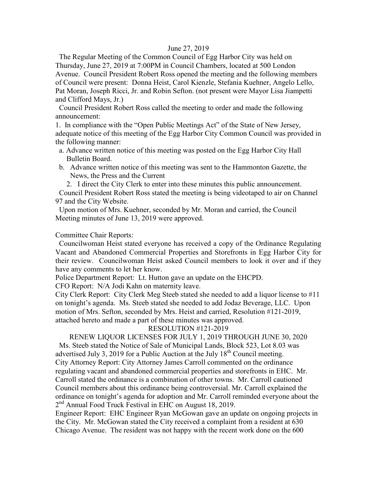#### June 27, 2019

 The Regular Meeting of the Common Council of Egg Harbor City was held on Thursday, June 27, 2019 at 7:00PM in Council Chambers, located at 500 London Avenue. Council President Robert Ross opened the meeting and the following members of Council were present: Donna Heist, Carol Kienzle, Stefania Kuehner, Angelo Lello, Pat Moran, Joseph Ricci, Jr. and Robin Sefton. (not present were Mayor Lisa Jiampetti and Clifford Mays, Jr.)

 Council President Robert Ross called the meeting to order and made the following announcement:

1. In compliance with the "Open Public Meetings Act" of the State of New Jersey, adequate notice of this meeting of the Egg Harbor City Common Council was provided in the following manner:

- a. Advance written notice of this meeting was posted on the Egg Harbor City Hall Bulletin Board.
- b. Advance written notice of this meeting was sent to the Hammonton Gazette, the News, the Press and the Current

2. I direct the City Clerk to enter into these minutes this public announcement. Council President Robert Ross stated the meeting is being videotaped to air on Channel 97 and the City Website.

 Upon motion of Mrs. Kuehner, seconded by Mr. Moran and carried, the Council Meeting minutes of June 13, 2019 were approved.

#### Committee Chair Reports:

 Councilwoman Heist stated everyone has received a copy of the Ordinance Regulating Vacant and Abandoned Commercial Properties and Storefronts in Egg Harbor City for their review. Councilwoman Heist asked Council members to look it over and if they have any comments to let her know.

Police Department Report: Lt. Hutton gave an update on the EHCPD.

CFO Report: N/A Jodi Kahn on maternity leave.

City Clerk Report: City Clerk Meg Steeb stated she needed to add a liquor license to #11 on tonight's agenda. Ms. Steeb stated she needed to add Jodaz Beverage, LLC. Upon motion of Mrs. Sefton, seconded by Mrs. Heist and carried, Resolution #121-2019, attached hereto and made a part of these minutes was approved.

### RESOLUTION #121-2019

RENEW LIQUOR LICENSES FOR JULY 1, 2019 THROUGH JUNE 30, 2020 Ms. Steeb stated the Notice of Sale of Municipal Lands, Block 523, Lot 8.03 was

advertised July 3, 2019 for a Public Auction at the July  $18<sup>th</sup>$  Council meeting. City Attorney Report: City Attorney James Carroll commented on the ordinance regulating vacant and abandoned commercial properties and storefronts in EHC. Mr. Carroll stated the ordinance is a combination of other towns. Mr. Carroll cautioned Council members about this ordinance being controversial. Mr. Carroll explained the ordinance on tonight's agenda for adoption and Mr. Carroll reminded everyone about the  $2<sup>nd</sup>$  Annual Food Truck Festival in EHC on August 18, 2019.

Engineer Report: EHC Engineer Ryan McGowan gave an update on ongoing projects in the City. Mr. McGowan stated the City received a complaint from a resident at 630 Chicago Avenue. The resident was not happy with the recent work done on the 600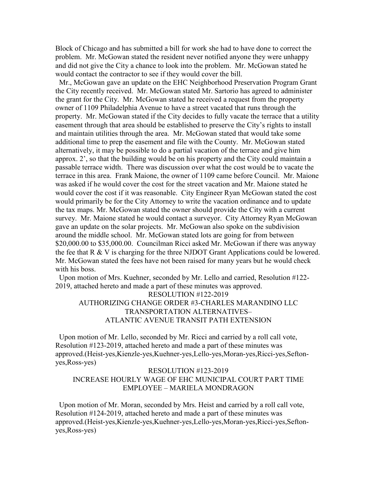Block of Chicago and has submitted a bill for work she had to have done to correct the problem. Mr. McGowan stated the resident never notified anyone they were unhappy and did not give the City a chance to look into the problem. Mr. McGowan stated he would contact the contractor to see if they would cover the bill.

 Mr., McGowan gave an update on the EHC Neighborhood Preservation Program Grant the City recently received. Mr. McGowan stated Mr. Sartorio has agreed to administer the grant for the City. Mr. McGowan stated he received a request from the property owner of 1109 Philadelphia Avenue to have a street vacated that runs through the property. Mr. McGowan stated if the City decides to fully vacate the terrace that a utility easement through that area should be established to preserve the City's rights to install and maintain utilities through the area. Mr. McGowan stated that would take some additional time to prep the easement and file with the County. Mr. McGowan stated alternatively, it may be possible to do a partial vacation of the terrace and give him approx. 2', so that the building would be on his property and the City could maintain a passable terrace width. There was discussion over what the cost would be to vacate the terrace in this area. Frank Maione, the owner of 1109 came before Council. Mr. Maione was asked if he would cover the cost for the street vacation and Mr. Maione stated he would cover the cost if it was reasonable. City Engineer Ryan McGowan stated the cost would primarily be for the City Attorney to write the vacation ordinance and to update the tax maps. Mr. McGowan stated the owner should provide the City with a current survey. Mr. Maione stated he would contact a surveyor. City Attorney Ryan McGowan gave an update on the solar projects. Mr. McGowan also spoke on the subdivision around the middle school. Mr. McGowan stated lots are going for from between \$20,000.00 to \$35,000.00. Councilman Ricci asked Mr. McGowan if there was anyway the fee that R & V is charging for the three NJDOT Grant Applications could be lowered. Mr. McGowan stated the fees have not been raised for many years but he would check with his boss.

 Upon motion of Mrs. Kuehner, seconded by Mr. Lello and carried, Resolution #122- 2019, attached hereto and made a part of these minutes was approved.

RESOLUTION #122-2019 AUTHORIZING CHANGE ORDER #3-CHARLES MARANDINO LLC TRANSPORTATION ALTERNATIVES– ATLANTIC AVENUE TRANSIT PATH EXTENSION

 Upon motion of Mr. Lello, seconded by Mr. Ricci and carried by a roll call vote, Resolution #123-2019, attached hereto and made a part of these minutes was approved.(Heist-yes,Kienzle-yes,Kuehner-yes,Lello-yes,Moran-yes,Ricci-yes,Seftonyes,Ross-yes)

### RESOLUTION #123-2019 INCREASE HOURLY WAGE OF EHC MUNICIPAL COURT PART TIME EMPLOYEE – MARIELA MONDRAGON

 Upon motion of Mr. Moran, seconded by Mrs. Heist and carried by a roll call vote, Resolution #124-2019, attached hereto and made a part of these minutes was approved.(Heist-yes,Kienzle-yes,Kuehner-yes,Lello-yes,Moran-yes,Ricci-yes,Seftonyes,Ross-yes)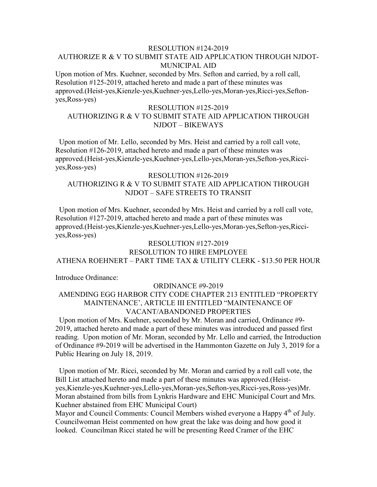#### RESOLUTION #124-2019

# AUTHORIZE R & V TO SUBMIT STATE AID APPLICATION THROUGH NJDOT-MUNICIPAL AID

Upon motion of Mrs. Kuehner, seconded by Mrs. Sefton and carried, by a roll call, Resolution #125-2019, attached hereto and made a part of these minutes was approved.(Heist-yes,Kienzle-yes,Kuehner-yes,Lello-yes,Moran-yes,Ricci-yes,Seftonyes,Ross-yes)

#### RESOLUTION #125-2019

# AUTHORIZING R & V TO SUBMIT STATE AID APPLICATION THROUGH NJDOT – BIKEWAYS

 Upon motion of Mr. Lello, seconded by Mrs. Heist and carried by a roll call vote, Resolution #126-2019, attached hereto and made a part of these minutes was approved.(Heist-yes,Kienzle-yes,Kuehner-yes,Lello-yes,Moran-yes,Sefton-yes,Ricciyes,Ross-yes)

## RESOLUTION #126-2019 AUTHORIZING R & V TO SUBMIT STATE AID APPLICATION THROUGH NJDOT – SAFE STREETS TO TRANSIT

 Upon motion of Mrs. Kuehner, seconded by Mrs. Heist and carried by a roll call vote, Resolution #127-2019, attached hereto and made a part of these minutes was approved.(Heist-yes,Kienzle-yes,Kuehner-yes,Lello-yes,Moran-yes,Sefton-yes,Ricciyes,Ross-yes)

## RESOLUTION #127-2019 RESOLUTION TO HIRE EMPLOYEE ATHENA ROEHNERT – PART TIME TAX & UTILITY CLERK - \$13.50 PER HOUR

Introduce Ordinance:

#### ORDINANCE #9-2019

## AMENDING EGG HARBOR CITY CODE CHAPTER 213 ENTITLED "PROPERTY MAINTENANCE', ARTICLE III ENTITLED "MAINTENANCE OF VACANT/ABANDONED PROPERTIES

 Upon motion of Mrs. Kuehner, seconded by Mr. Moran and carried, Ordinance #9- 2019, attached hereto and made a part of these minutes was introduced and passed first reading. Upon motion of Mr. Moran, seconded by Mr. Lello and carried, the Introduction of Ordinance #9-2019 will be advertised in the Hammonton Gazette on July 3, 2019 for a Public Hearing on July 18, 2019.

 Upon motion of Mr. Ricci, seconded by Mr. Moran and carried by a roll call vote, the Bill List attached hereto and made a part of these minutes was approved.(Heistyes,Kienzle-yes,Kuehner-yes,Lello-yes,Moran-yes,Sefton-yes,Ricci-yes,Ross-yes)Mr. Moran abstained from bills from Lynkris Hardware and EHC Municipal Court and Mrs. Kuehner abstained from EHC Municipal Court)

Mayor and Council Comments: Council Members wished everyone a Happy 4<sup>th</sup> of July. Councilwoman Heist commented on how great the lake was doing and how good it looked. Councilman Ricci stated he will be presenting Reed Cramer of the EHC